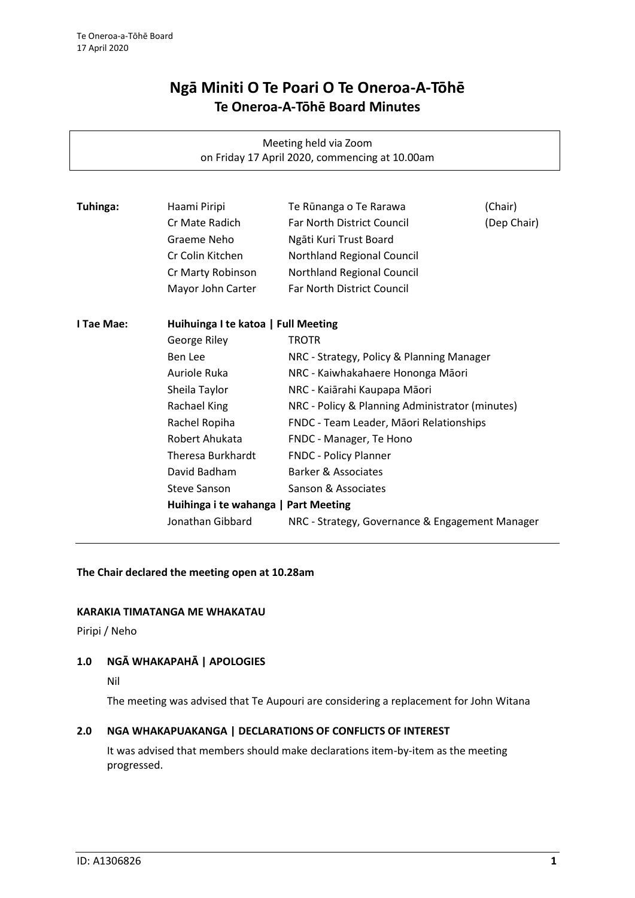# **Ngā Miniti O Te Poari O Te Oneroa-A-Tōhē Te Oneroa-A-Tōhē Board Minutes**

Meeting held via Zoom on Friday 17 April 2020, commencing at 10.00am

| Tuhinga:   | Haami Piripi                         | Te Rūnanga o Te Rarawa                          | (Chair)     |
|------------|--------------------------------------|-------------------------------------------------|-------------|
|            | Cr Mate Radich                       | Far North District Council                      | (Dep Chair) |
|            | Graeme Neho                          | Ngāti Kuri Trust Board                          |             |
|            | Cr Colin Kitchen                     | Northland Regional Council                      |             |
|            | Cr Marty Robinson                    | Northland Regional Council                      |             |
|            | Mayor John Carter                    | Far North District Council                      |             |
| I Tae Mae: | Huihuinga I te katoa   Full Meeting  |                                                 |             |
|            | George Riley                         | <b>TROTR</b>                                    |             |
|            | Ben Lee                              | NRC - Strategy, Policy & Planning Manager       |             |
|            | Auriole Ruka                         | NRC - Kaiwhakahaere Hononga Māori               |             |
|            | Sheila Taylor                        | NRC - Kaiārahi Kaupapa Māori                    |             |
|            | Rachael King                         | NRC - Policy & Planning Administrator (minutes) |             |
|            | Rachel Ropiha                        | FNDC - Team Leader, Māori Relationships         |             |
|            | Robert Ahukata                       | FNDC - Manager, Te Hono                         |             |
|            | Theresa Burkhardt                    | <b>FNDC - Policy Planner</b>                    |             |
|            | David Badham                         | Barker & Associates                             |             |
|            | <b>Steve Sanson</b>                  | Sanson & Associates                             |             |
|            | Huihinga i te wahanga   Part Meeting |                                                 |             |
|            | Jonathan Gibbard                     | NRC - Strategy, Governance & Engagement Manager |             |
|            |                                      |                                                 |             |

**The Chair declared the meeting open at 10.28am**

## **KARAKIA TIMATANGA ME WHAKATAU**

Piripi / Neho

## **1.0 NGĀ WHAKAPAHĀ | APOLOGIES**

The meeting was advised that Te Aupouri are considering a replacement for John Witana

# **2.0 NGA WHAKAPUAKANGA | DECLARATIONS OF CONFLICTS OF INTEREST**

It was advised that members should make declarations item-by-item as the meeting progressed.

Nil